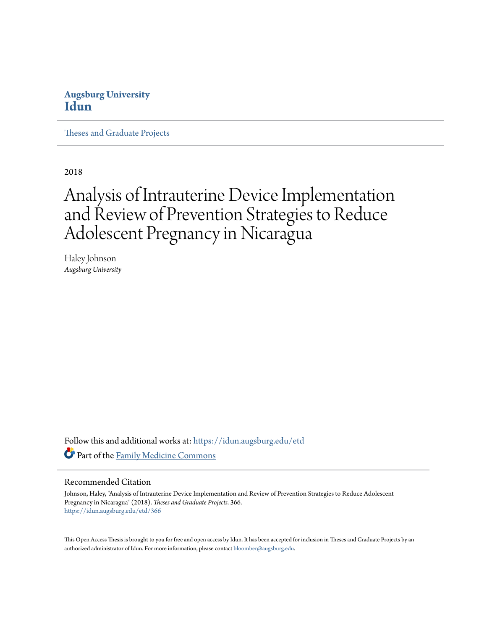# **Augsburg University [Idun](https://idun.augsburg.edu?utm_source=idun.augsburg.edu%2Fetd%2F366&utm_medium=PDF&utm_campaign=PDFCoverPages)**

[Theses and Graduate Projects](https://idun.augsburg.edu/etd?utm_source=idun.augsburg.edu%2Fetd%2F366&utm_medium=PDF&utm_campaign=PDFCoverPages)

2018

# Analysis of Intrauterine Device Implementation and Review of Prevention Strategies to Reduce Adolescent Pregnancy in Nicaragua

Haley Johnson *Augsburg University*

Follow this and additional works at: [https://idun.augsburg.edu/etd](https://idun.augsburg.edu/etd?utm_source=idun.augsburg.edu%2Fetd%2F366&utm_medium=PDF&utm_campaign=PDFCoverPages) Part of the [Family Medicine Commons](http://network.bepress.com/hgg/discipline/1354?utm_source=idun.augsburg.edu%2Fetd%2F366&utm_medium=PDF&utm_campaign=PDFCoverPages)

#### Recommended Citation

Johnson, Haley, "Analysis of Intrauterine Device Implementation and Review of Prevention Strategies to Reduce Adolescent Pregnancy in Nicaragua" (2018). *Theses and Graduate Projects*. 366. [https://idun.augsburg.edu/etd/366](https://idun.augsburg.edu/etd/366?utm_source=idun.augsburg.edu%2Fetd%2F366&utm_medium=PDF&utm_campaign=PDFCoverPages)

This Open Access Thesis is brought to you for free and open access by Idun. It has been accepted for inclusion in Theses and Graduate Projects by an authorized administrator of Idun. For more information, please contact [bloomber@augsburg.edu.](mailto:bloomber@augsburg.edu)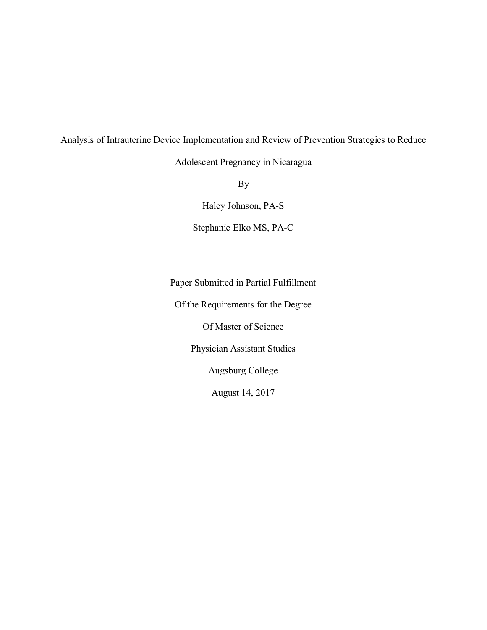Analysis of Intrauterine Device Implementation and Review of Prevention Strategies to Reduce

Adolescent Pregnancy in Nicaragua

By

Haley Johnson, PA-S

Stephanie Elko MS, PA-C

Paper Submitted in Partial Fulfillment

Of the Requirements for the Degree

Of Master of Science

Physician Assistant Studies

Augsburg College

August 14, 2017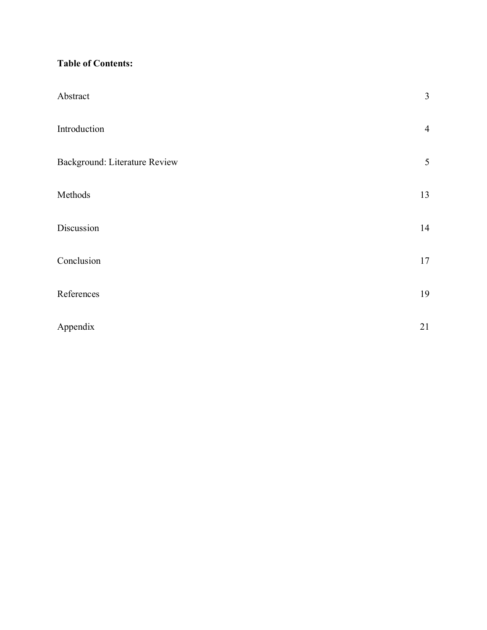# **Table of Contents:**

| Abstract                      | $\overline{3}$ |
|-------------------------------|----------------|
| Introduction                  | $\overline{4}$ |
| Background: Literature Review | $\sqrt{5}$     |
| Methods                       | 13             |
| Discussion                    | 14             |
| Conclusion                    | 17             |
| References                    | 19             |
| Appendix                      | 21             |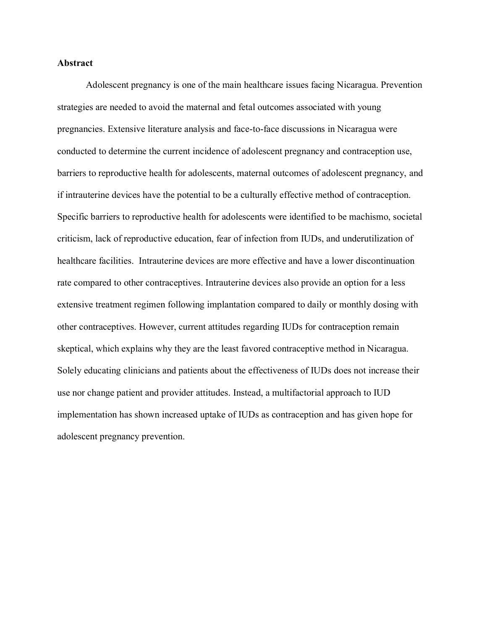#### **Abstract**

Adolescent pregnancy is one of the main healthcare issues facing Nicaragua. Prevention strategies are needed to avoid the maternal and fetal outcomes associated with young pregnancies. Extensive literature analysis and face-to-face discussions in Nicaragua were conducted to determine the current incidence of adolescent pregnancy and contraception use, barriers to reproductive health for adolescents, maternal outcomes of adolescent pregnancy, and if intrauterine devices have the potential to be a culturally effective method of contraception. Specific barriers to reproductive health for adolescents were identified to be machismo, societal criticism, lack of reproductive education, fear of infection from IUDs, and underutilization of healthcare facilities. Intrauterine devices are more effective and have a lower discontinuation rate compared to other contraceptives. Intrauterine devices also provide an option for a less extensive treatment regimen following implantation compared to daily or monthly dosing with other contraceptives. However, current attitudes regarding IUDs for contraception remain skeptical, which explains why they are the least favored contraceptive method in Nicaragua. Solely educating clinicians and patients about the effectiveness of IUDs does not increase their use nor change patient and provider attitudes. Instead, a multifactorial approach to IUD implementation has shown increased uptake of IUDs as contraception and has given hope for adolescent pregnancy prevention.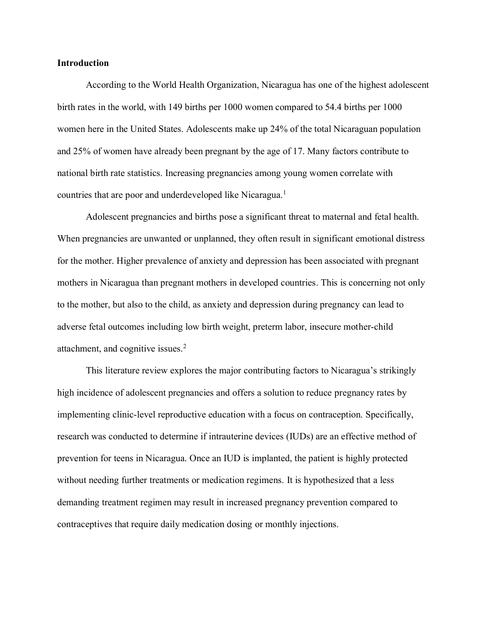#### **Introduction**

According to the World Health Organization, Nicaragua has one of the highest adolescent birth rates in the world, with 149 births per 1000 women compared to 54.4 births per 1000 women here in the United States. Adolescents make up 24% of the total Nicaraguan population and 25% of women have already been pregnant by the age of 17. Many factors contribute to national birth rate statistics. Increasing pregnancies among young women correlate with countries that are poor and underdeveloped like Nicaragua.<sup>1</sup>

Adolescent pregnancies and births pose a significant threat to maternal and fetal health. When pregnancies are unwanted or unplanned, they often result in significant emotional distress for the mother. Higher prevalence of anxiety and depression has been associated with pregnant mothers in Nicaragua than pregnant mothers in developed countries. This is concerning not only to the mother, but also to the child, as anxiety and depression during pregnancy can lead to adverse fetal outcomes including low birth weight, preterm labor, insecure mother-child attachment, and cognitive issues.2

This literature review explores the major contributing factors to Nicaragua's strikingly high incidence of adolescent pregnancies and offers a solution to reduce pregnancy rates by implementing clinic-level reproductive education with a focus on contraception. Specifically, research was conducted to determine if intrauterine devices (IUDs) are an effective method of prevention for teens in Nicaragua. Once an IUD is implanted, the patient is highly protected without needing further treatments or medication regimens. It is hypothesized that a less demanding treatment regimen may result in increased pregnancy prevention compared to contraceptives that require daily medication dosing or monthly injections.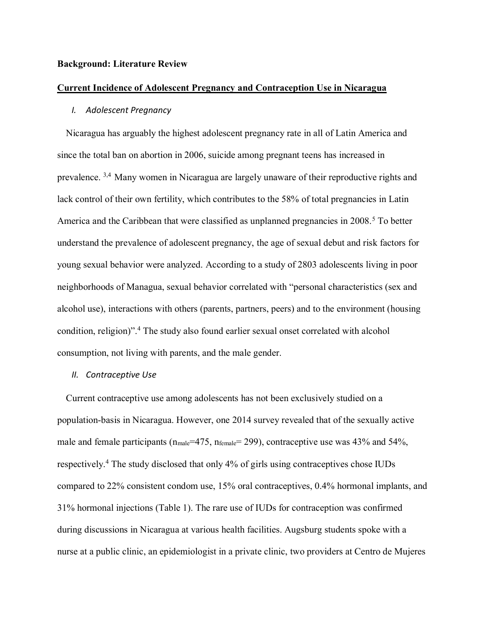#### **Background: Literature Review**

#### **Current Incidence of Adolescent Pregnancy and Contraception Use in Nicaragua**

## *I. Adolescent Pregnancy*

Nicaragua has arguably the highest adolescent pregnancy rate in all of Latin America and since the total ban on abortion in 2006, suicide among pregnant teens has increased in prevalence. 3,4 Many women in Nicaragua are largely unaware of their reproductive rights and lack control of their own fertility, which contributes to the 58% of total pregnancies in Latin America and the Caribbean that were classified as unplanned pregnancies in 2008.<sup>5</sup> To better understand the prevalence of adolescent pregnancy, the age of sexual debut and risk factors for young sexual behavior were analyzed. According to a study of 2803 adolescents living in poor neighborhoods of Managua, sexual behavior correlated with "personal characteristics (sex and alcohol use), interactions with others (parents, partners, peers) and to the environment (housing condition, religion)".<sup>4</sup> The study also found earlier sexual onset correlated with alcohol consumption, not living with parents, and the male gender.

#### *II. Contraceptive Use*

Current contraceptive use among adolescents has not been exclusively studied on a population-basis in Nicaragua. However, one 2014 survey revealed that of the sexually active male and female participants (n<sub>male</sub>=475, n<sub>female</sub>= 299), contraceptive use was 43% and 54%, respectively.4 The study disclosed that only 4% of girls using contraceptives chose IUDs compared to 22% consistent condom use, 15% oral contraceptives, 0.4% hormonal implants, and 31% hormonal injections (Table 1). The rare use of IUDs for contraception was confirmed during discussions in Nicaragua at various health facilities. Augsburg students spoke with a nurse at a public clinic, an epidemiologist in a private clinic, two providers at Centro de Mujeres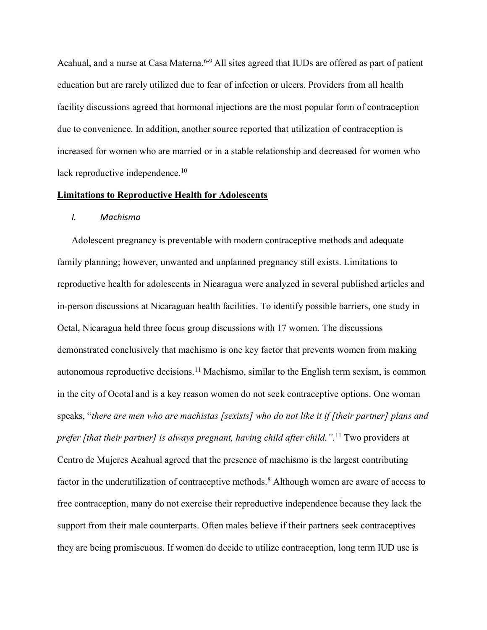Acahual, and a nurse at Casa Materna.<sup>6-9</sup> All sites agreed that IUDs are offered as part of patient education but are rarely utilized due to fear of infection or ulcers. Providers from all health facility discussions agreed that hormonal injections are the most popular form of contraception due to convenience. In addition, another source reported that utilization of contraception is increased for women who are married or in a stable relationship and decreased for women who lack reproductive independence.<sup>10</sup>

#### **Limitations to Reproductive Health for Adolescents**

#### *I. Machismo*

Adolescent pregnancy is preventable with modern contraceptive methods and adequate family planning; however, unwanted and unplanned pregnancy still exists. Limitations to reproductive health for adolescents in Nicaragua were analyzed in several published articles and in-person discussions at Nicaraguan health facilities. To identify possible barriers, one study in Octal, Nicaragua held three focus group discussions with 17 women. The discussions demonstrated conclusively that machismo is one key factor that prevents women from making autonomous reproductive decisions.<sup>11</sup> Machismo, similar to the English term sexism, is common in the city of Ocotal and is a key reason women do not seek contraceptive options. One woman speaks, "*there are men who are machistas [sexists] who do not like it if [their partner] plans and prefer [that their partner] is always pregnant, having child after child.".*<sup>11</sup> Two providers at Centro de Mujeres Acahual agreed that the presence of machismo is the largest contributing factor in the underutilization of contraceptive methods.<sup>8</sup> Although women are aware of access to free contraception, many do not exercise their reproductive independence because they lack the support from their male counterparts. Often males believe if their partners seek contraceptives they are being promiscuous. If women do decide to utilize contraception, long term IUD use is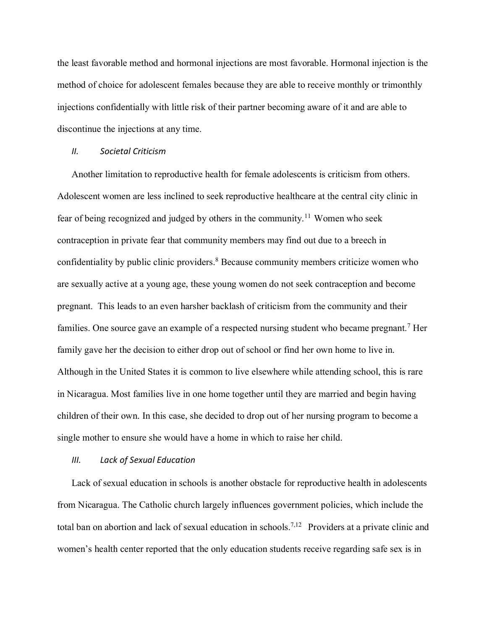the least favorable method and hormonal injections are most favorable. Hormonal injection is the method of choice for adolescent females because they are able to receive monthly or trimonthly injections confidentially with little risk of their partner becoming aware of it and are able to discontinue the injections at any time.

#### *II. Societal Criticism*

Another limitation to reproductive health for female adolescents is criticism from others. Adolescent women are less inclined to seek reproductive healthcare at the central city clinic in fear of being recognized and judged by others in the community.11 Women who seek contraception in private fear that community members may find out due to a breech in confidentiality by public clinic providers.<sup>8</sup> Because community members criticize women who are sexually active at a young age, these young women do not seek contraception and become pregnant. This leads to an even harsher backlash of criticism from the community and their families. One source gave an example of a respected nursing student who became pregnant.<sup>7</sup> Her family gave her the decision to either drop out of school or find her own home to live in. Although in the United States it is common to live elsewhere while attending school, this is rare in Nicaragua. Most families live in one home together until they are married and begin having children of their own. In this case, she decided to drop out of her nursing program to become a single mother to ensure she would have a home in which to raise her child.

#### *III. Lack of Sexual Education*

Lack of sexual education in schools is another obstacle for reproductive health in adolescents from Nicaragua. The Catholic church largely influences government policies, which include the total ban on abortion and lack of sexual education in schools.7,12 Providers at a private clinic and women's health center reported that the only education students receive regarding safe sex is in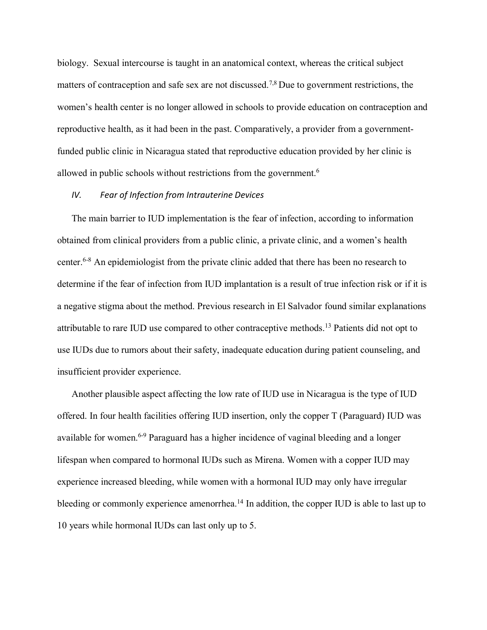biology. Sexual intercourse is taught in an anatomical context, whereas the critical subject matters of contraception and safe sex are not discussed.7,8 Due to government restrictions, the women's health center is no longer allowed in schools to provide education on contraception and reproductive health, as it had been in the past. Comparatively, a provider from a governmentfunded public clinic in Nicaragua stated that reproductive education provided by her clinic is allowed in public schools without restrictions from the government.6

## *IV. Fear of Infection from Intrauterine Devices*

The main barrier to IUD implementation is the fear of infection, according to information obtained from clinical providers from a public clinic, a private clinic, and a women's health center.6-8 An epidemiologist from the private clinic added that there has been no research to determine if the fear of infection from IUD implantation is a result of true infection risk or if it is a negative stigma about the method. Previous research in El Salvador found similar explanations attributable to rare IUD use compared to other contraceptive methods.13 Patients did not opt to use IUDs due to rumors about their safety, inadequate education during patient counseling, and insufficient provider experience.

Another plausible aspect affecting the low rate of IUD use in Nicaragua is the type of IUD offered. In four health facilities offering IUD insertion, only the copper T (Paraguard) IUD was available for women.6-9 Paraguard has a higher incidence of vaginal bleeding and a longer lifespan when compared to hormonal IUDs such as Mirena. Women with a copper IUD may experience increased bleeding, while women with a hormonal IUD may only have irregular bleeding or commonly experience amenorrhea.<sup>14</sup> In addition, the copper IUD is able to last up to 10 years while hormonal IUDs can last only up to 5.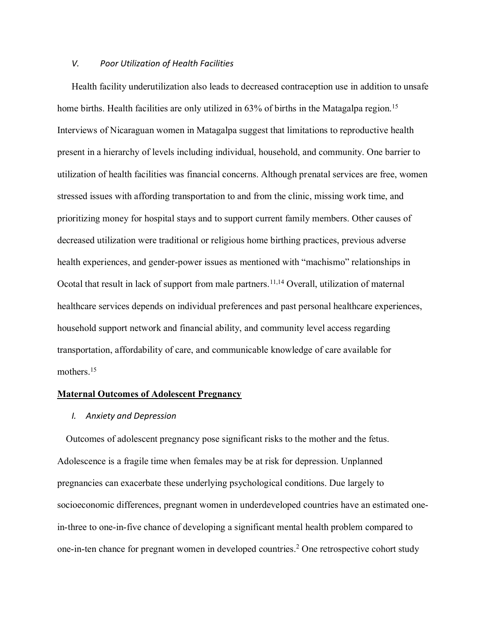#### *V. Poor Utilization of Health Facilities*

Health facility underutilization also leads to decreased contraception use in addition to unsafe home births. Health facilities are only utilized in 63% of births in the Matagalpa region.<sup>15</sup> Interviews of Nicaraguan women in Matagalpa suggest that limitations to reproductive health present in a hierarchy of levels including individual, household, and community. One barrier to utilization of health facilities was financial concerns. Although prenatal services are free, women stressed issues with affording transportation to and from the clinic, missing work time, and prioritizing money for hospital stays and to support current family members. Other causes of decreased utilization were traditional or religious home birthing practices, previous adverse health experiences, and gender-power issues as mentioned with "machismo" relationships in Ocotal that result in lack of support from male partners.<sup>11,14</sup> Overall, utilization of maternal healthcare services depends on individual preferences and past personal healthcare experiences, household support network and financial ability, and community level access regarding transportation, affordability of care, and communicable knowledge of care available for mothers.<sup>15</sup>

#### **Maternal Outcomes of Adolescent Pregnancy**

#### *I. Anxiety and Depression*

Outcomes of adolescent pregnancy pose significant risks to the mother and the fetus. Adolescence is a fragile time when females may be at risk for depression. Unplanned pregnancies can exacerbate these underlying psychological conditions. Due largely to socioeconomic differences, pregnant women in underdeveloped countries have an estimated onein-three to one-in-five chance of developing a significant mental health problem compared to one-in-ten chance for pregnant women in developed countries. <sup>2</sup> One retrospective cohort study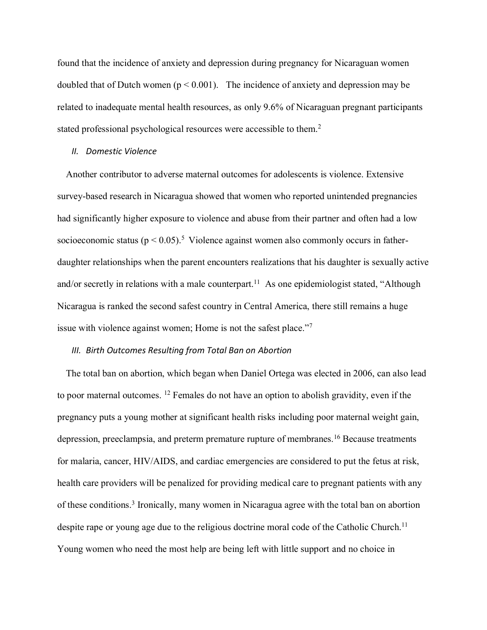found that the incidence of anxiety and depression during pregnancy for Nicaraguan women doubled that of Dutch women ( $p < 0.001$ ). The incidence of anxiety and depression may be related to inadequate mental health resources, as only 9.6% of Nicaraguan pregnant participants stated professional psychological resources were accessible to them.2

#### *II. Domestic Violence*

Another contributor to adverse maternal outcomes for adolescents is violence. Extensive survey-based research in Nicaragua showed that women who reported unintended pregnancies had significantly higher exposure to violence and abuse from their partner and often had a low socioeconomic status ( $p < 0.05$ ).<sup>5</sup> Violence against women also commonly occurs in fatherdaughter relationships when the parent encounters realizations that his daughter is sexually active and/or secretly in relations with a male counterpart.<sup>11</sup> As one epidemiologist stated, "Although Nicaragua is ranked the second safest country in Central America, there still remains a huge issue with violence against women; Home is not the safest place."<sup>7</sup>

# *III. Birth Outcomes Resulting from Total Ban on Abortion*

The total ban on abortion, which began when Daniel Ortega was elected in 2006, can also lead to poor maternal outcomes. 12 Females do not have an option to abolish gravidity, even if the pregnancy puts a young mother at significant health risks including poor maternal weight gain, depression, preeclampsia, and preterm premature rupture of membranes.16 Because treatments for malaria, cancer, HIV/AIDS, and cardiac emergencies are considered to put the fetus at risk, health care providers will be penalized for providing medical care to pregnant patients with any of these conditions. <sup>3</sup> Ironically, many women in Nicaragua agree with the total ban on abortion despite rape or young age due to the religious doctrine moral code of the Catholic Church.<sup>11</sup> Young women who need the most help are being left with little support and no choice in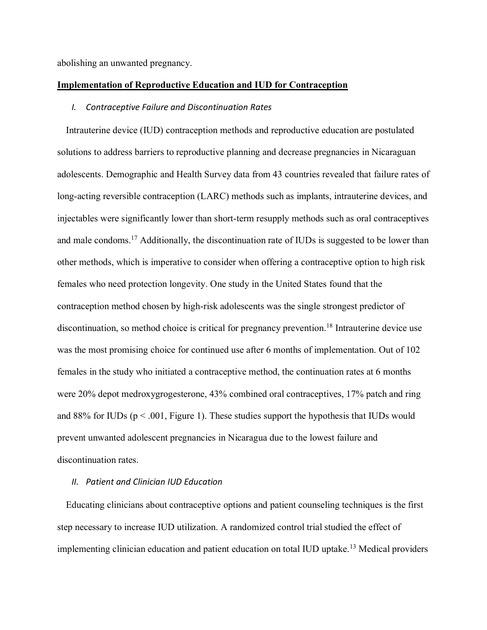abolishing an unwanted pregnancy.

#### **Implementation of Reproductive Education and IUD for Contraception**

#### *I. Contraceptive Failure and Discontinuation Rates*

Intrauterine device (IUD) contraception methods and reproductive education are postulated solutions to address barriers to reproductive planning and decrease pregnancies in Nicaraguan adolescents. Demographic and Health Survey data from 43 countries revealed that failure rates of long-acting reversible contraception (LARC) methods such as implants, intrauterine devices, and injectables were significantly lower than short-term resupply methods such as oral contraceptives and male condoms.<sup>17</sup> Additionally, the discontinuation rate of IUDs is suggested to be lower than other methods, which is imperative to consider when offering a contraceptive option to high risk females who need protection longevity. One study in the United States found that the contraception method chosen by high-risk adolescents was the single strongest predictor of discontinuation, so method choice is critical for pregnancy prevention. <sup>18</sup> Intrauterine device use was the most promising choice for continued use after 6 months of implementation. Out of 102 females in the study who initiated a contraceptive method, the continuation rates at 6 months were 20% depot medroxygrogesterone, 43% combined oral contraceptives, 17% patch and ring and 88% for IUDs ( $p < .001$ , Figure 1). These studies support the hypothesis that IUDs would prevent unwanted adolescent pregnancies in Nicaragua due to the lowest failure and discontinuation rates.

# *II. Patient and Clinician IUD Education*

Educating clinicians about contraceptive options and patient counseling techniques is the first step necessary to increase IUD utilization. A randomized control trial studied the effect of implementing clinician education and patient education on total IUD uptake.<sup>13</sup> Medical providers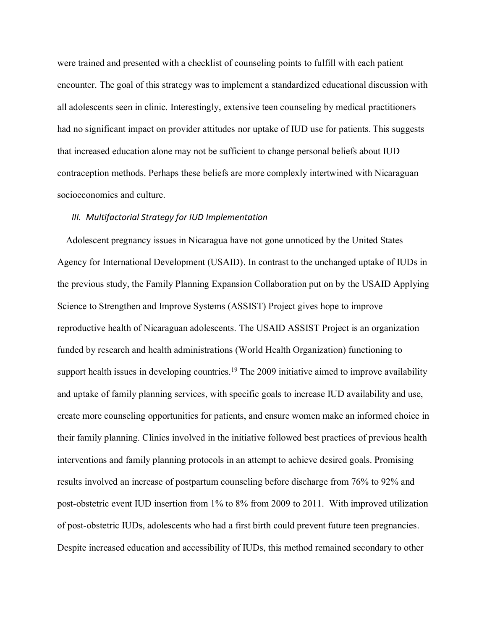were trained and presented with a checklist of counseling points to fulfill with each patient encounter. The goal of this strategy was to implement a standardized educational discussion with all adolescents seen in clinic. Interestingly, extensive teen counseling by medical practitioners had no significant impact on provider attitudes nor uptake of IUD use for patients. This suggests that increased education alone may not be sufficient to change personal beliefs about IUD contraception methods. Perhaps these beliefs are more complexly intertwined with Nicaraguan socioeconomics and culture.

#### *III. Multifactorial Strategy for IUD Implementation*

Adolescent pregnancy issues in Nicaragua have not gone unnoticed by the United States Agency for International Development (USAID). In contrast to the unchanged uptake of IUDs in the previous study, the Family Planning Expansion Collaboration put on by the USAID Applying Science to Strengthen and Improve Systems (ASSIST) Project gives hope to improve reproductive health of Nicaraguan adolescents. The USAID ASSIST Project is an organization funded by research and health administrations (World Health Organization) functioning to support health issues in developing countries.<sup>19</sup> The 2009 initiative aimed to improve availability and uptake of family planning services, with specific goals to increase IUD availability and use, create more counseling opportunities for patients, and ensure women make an informed choice in their family planning. Clinics involved in the initiative followed best practices of previous health interventions and family planning protocols in an attempt to achieve desired goals. Promising results involved an increase of postpartum counseling before discharge from 76% to 92% and post-obstetric event IUD insertion from 1% to 8% from 2009 to 2011. With improved utilization of post-obstetric IUDs, adolescents who had a first birth could prevent future teen pregnancies. Despite increased education and accessibility of IUDs, this method remained secondary to other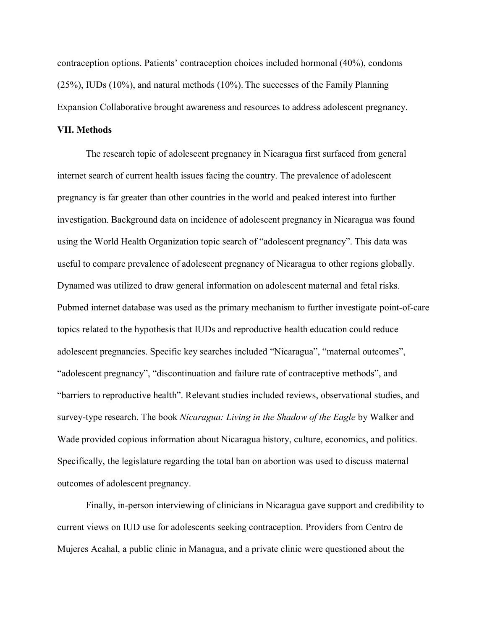contraception options. Patients' contraception choices included hormonal (40%), condoms (25%), IUDs (10%), and natural methods (10%). The successes of the Family Planning Expansion Collaborative brought awareness and resources to address adolescent pregnancy.

#### **VII. Methods**

The research topic of adolescent pregnancy in Nicaragua first surfaced from general internet search of current health issues facing the country. The prevalence of adolescent pregnancy is far greater than other countries in the world and peaked interest into further investigation. Background data on incidence of adolescent pregnancy in Nicaragua was found using the World Health Organization topic search of "adolescent pregnancy". This data was useful to compare prevalence of adolescent pregnancy of Nicaragua to other regions globally. Dynamed was utilized to draw general information on adolescent maternal and fetal risks. Pubmed internet database was used as the primary mechanism to further investigate point-of-care topics related to the hypothesis that IUDs and reproductive health education could reduce adolescent pregnancies. Specific key searches included "Nicaragua", "maternal outcomes", "adolescent pregnancy", "discontinuation and failure rate of contraceptive methods", and "barriers to reproductive health". Relevant studies included reviews, observational studies, and survey-type research. The book *Nicaragua: Living in the Shadow of the Eagle* by Walker and Wade provided copious information about Nicaragua history, culture, economics, and politics. Specifically, the legislature regarding the total ban on abortion was used to discuss maternal outcomes of adolescent pregnancy.

Finally, in-person interviewing of clinicians in Nicaragua gave support and credibility to current views on IUD use for adolescents seeking contraception. Providers from Centro de Mujeres Acahal, a public clinic in Managua, and a private clinic were questioned about the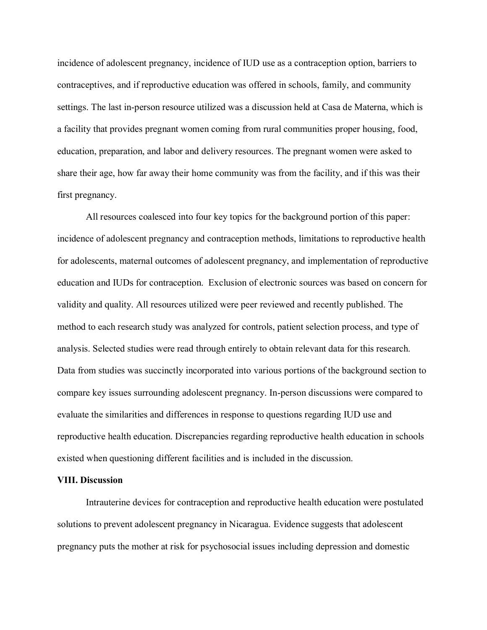incidence of adolescent pregnancy, incidence of IUD use as a contraception option, barriers to contraceptives, and if reproductive education was offered in schools, family, and community settings. The last in-person resource utilized was a discussion held at Casa de Materna, which is a facility that provides pregnant women coming from rural communities proper housing, food, education, preparation, and labor and delivery resources. The pregnant women were asked to share their age, how far away their home community was from the facility, and if this was their first pregnancy.

All resources coalesced into four key topics for the background portion of this paper: incidence of adolescent pregnancy and contraception methods, limitations to reproductive health for adolescents, maternal outcomes of adolescent pregnancy, and implementation of reproductive education and IUDs for contraception. Exclusion of electronic sources was based on concern for validity and quality. All resources utilized were peer reviewed and recently published. The method to each research study was analyzed for controls, patient selection process, and type of analysis. Selected studies were read through entirely to obtain relevant data for this research. Data from studies was succinctly incorporated into various portions of the background section to compare key issues surrounding adolescent pregnancy. In-person discussions were compared to evaluate the similarities and differences in response to questions regarding IUD use and reproductive health education. Discrepancies regarding reproductive health education in schools existed when questioning different facilities and is included in the discussion.

#### **VIII. Discussion**

Intrauterine devices for contraception and reproductive health education were postulated solutions to prevent adolescent pregnancy in Nicaragua. Evidence suggests that adolescent pregnancy puts the mother at risk for psychosocial issues including depression and domestic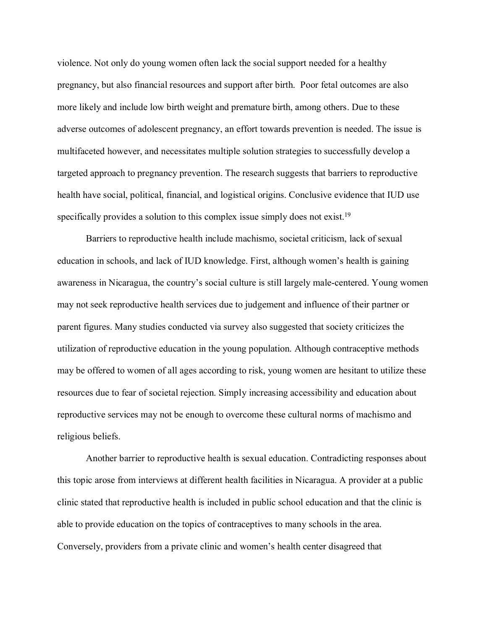violence. Not only do young women often lack the social support needed for a healthy pregnancy, but also financial resources and support after birth. Poor fetal outcomes are also more likely and include low birth weight and premature birth, among others. Due to these adverse outcomes of adolescent pregnancy, an effort towards prevention is needed. The issue is multifaceted however, and necessitates multiple solution strategies to successfully develop a targeted approach to pregnancy prevention. The research suggests that barriers to reproductive health have social, political, financial, and logistical origins. Conclusive evidence that IUD use specifically provides a solution to this complex issue simply does not exist.<sup>19</sup>

Barriers to reproductive health include machismo, societal criticism, lack of sexual education in schools, and lack of IUD knowledge. First, although women's health is gaining awareness in Nicaragua, the country's social culture is still largely male-centered. Young women may not seek reproductive health services due to judgement and influence of their partner or parent figures. Many studies conducted via survey also suggested that society criticizes the utilization of reproductive education in the young population. Although contraceptive methods may be offered to women of all ages according to risk, young women are hesitant to utilize these resources due to fear of societal rejection. Simply increasing accessibility and education about reproductive services may not be enough to overcome these cultural norms of machismo and religious beliefs.

Another barrier to reproductive health is sexual education. Contradicting responses about this topic arose from interviews at different health facilities in Nicaragua. A provider at a public clinic stated that reproductive health is included in public school education and that the clinic is able to provide education on the topics of contraceptives to many schools in the area. Conversely, providers from a private clinic and women's health center disagreed that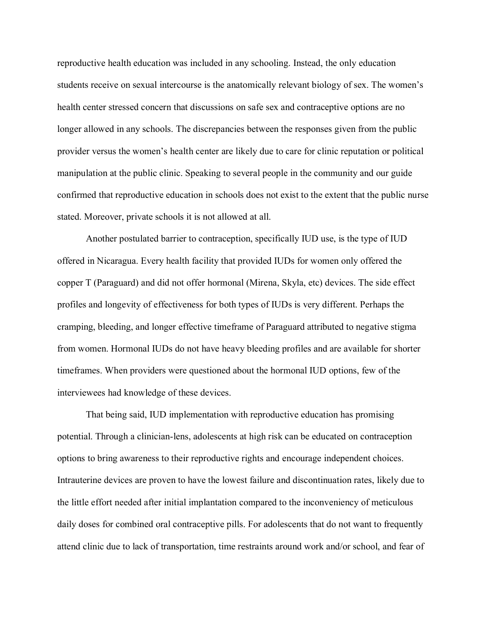reproductive health education was included in any schooling. Instead, the only education students receive on sexual intercourse is the anatomically relevant biology of sex. The women's health center stressed concern that discussions on safe sex and contraceptive options are no longer allowed in any schools. The discrepancies between the responses given from the public provider versus the women's health center are likely due to care for clinic reputation or political manipulation at the public clinic. Speaking to several people in the community and our guide confirmed that reproductive education in schools does not exist to the extent that the public nurse stated. Moreover, private schools it is not allowed at all.

Another postulated barrier to contraception, specifically IUD use, is the type of IUD offered in Nicaragua. Every health facility that provided IUDs for women only offered the copper T (Paraguard) and did not offer hormonal (Mirena, Skyla, etc) devices. The side effect profiles and longevity of effectiveness for both types of IUDs is very different. Perhaps the cramping, bleeding, and longer effective timeframe of Paraguard attributed to negative stigma from women. Hormonal IUDs do not have heavy bleeding profiles and are available for shorter timeframes. When providers were questioned about the hormonal IUD options, few of the interviewees had knowledge of these devices.

That being said, IUD implementation with reproductive education has promising potential. Through a clinician-lens, adolescents at high risk can be educated on contraception options to bring awareness to their reproductive rights and encourage independent choices. Intrauterine devices are proven to have the lowest failure and discontinuation rates, likely due to the little effort needed after initial implantation compared to the inconveniency of meticulous daily doses for combined oral contraceptive pills. For adolescents that do not want to frequently attend clinic due to lack of transportation, time restraints around work and/or school, and fear of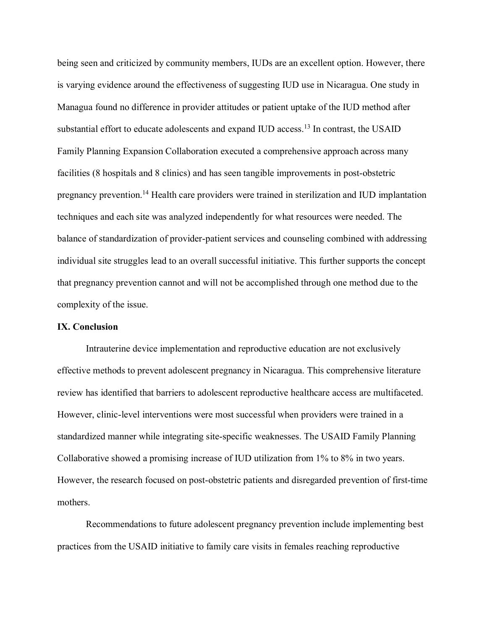being seen and criticized by community members, IUDs are an excellent option. However, there is varying evidence around the effectiveness of suggesting IUD use in Nicaragua. One study in Managua found no difference in provider attitudes or patient uptake of the IUD method after substantial effort to educate adolescents and expand IUD access.<sup>13</sup> In contrast, the USAID Family Planning Expansion Collaboration executed a comprehensive approach across many facilities (8 hospitals and 8 clinics) and has seen tangible improvements in post-obstetric pregnancy prevention.14 Health care providers were trained in sterilization and IUD implantation techniques and each site was analyzed independently for what resources were needed. The balance of standardization of provider-patient services and counseling combined with addressing individual site struggles lead to an overall successful initiative. This further supports the concept that pregnancy prevention cannot and will not be accomplished through one method due to the complexity of the issue.

#### **IX. Conclusion**

Intrauterine device implementation and reproductive education are not exclusively effective methods to prevent adolescent pregnancy in Nicaragua. This comprehensive literature review has identified that barriers to adolescent reproductive healthcare access are multifaceted. However, clinic-level interventions were most successful when providers were trained in a standardized manner while integrating site-specific weaknesses. The USAID Family Planning Collaborative showed a promising increase of IUD utilization from 1% to 8% in two years. However, the research focused on post-obstetric patients and disregarded prevention of first-time mothers.

Recommendations to future adolescent pregnancy prevention include implementing best practices from the USAID initiative to family care visits in females reaching reproductive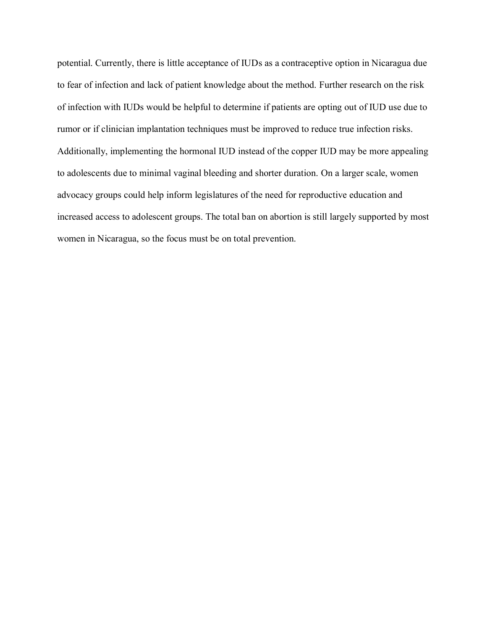potential. Currently, there is little acceptance of IUDs as a contraceptive option in Nicaragua due to fear of infection and lack of patient knowledge about the method. Further research on the risk of infection with IUDs would be helpful to determine if patients are opting out of IUD use due to rumor or if clinician implantation techniques must be improved to reduce true infection risks. Additionally, implementing the hormonal IUD instead of the copper IUD may be more appealing to adolescents due to minimal vaginal bleeding and shorter duration. On a larger scale, women advocacy groups could help inform legislatures of the need for reproductive education and increased access to adolescent groups. The total ban on abortion is still largely supported by most women in Nicaragua, so the focus must be on total prevention.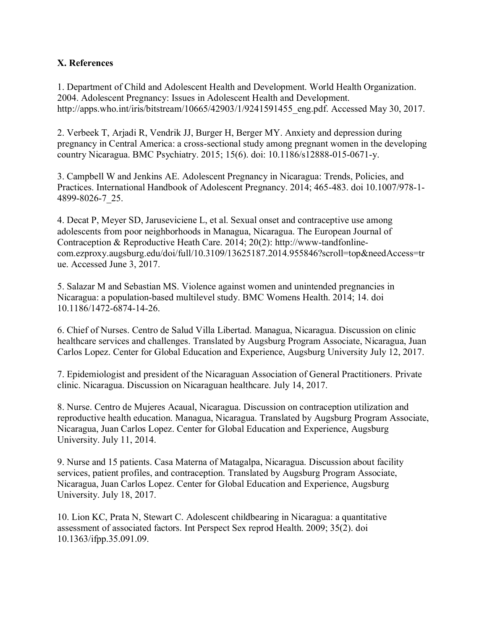# **X. References**

1. Department of Child and Adolescent Health and Development. World Health Organization. 2004. Adolescent Pregnancy: Issues in Adolescent Health and Development. http://apps.who.int/iris/bitstream/10665/42903/1/9241591455\_eng.pdf. Accessed May 30, 2017.

2. Verbeek T, Arjadi R, Vendrik JJ, Burger H, Berger MY. Anxiety and depression during pregnancy in Central America: a cross-sectional study among pregnant women in the developing country Nicaragua. BMC Psychiatry. 2015; 15(6). doi: 10.1186/s12888-015-0671-y.

3. Campbell W and Jenkins AE. Adolescent Pregnancy in Nicaragua: Trends, Policies, and Practices. International Handbook of Adolescent Pregnancy. 2014; 465-483. doi 10.1007/978-1- 4899-8026-7\_25.

4. Decat P, Meyer SD, Jaruseviciene L, et al. Sexual onset and contraceptive use among adolescents from poor neighborhoods in Managua, Nicaragua. The European Journal of Contraception & Reproductive Heath Care. 2014; 20(2): http://www-tandfonlinecom.ezproxy.augsburg.edu/doi/full/10.3109/13625187.2014.955846?scroll=top&needAccess=tr ue. Accessed June 3, 2017.

5. Salazar M and Sebastian MS. Violence against women and unintended pregnancies in Nicaragua: a population-based multilevel study. BMC Womens Health. 2014; 14. doi 10.1186/1472-6874-14-26.

6. Chief of Nurses. Centro de Salud Villa Libertad. Managua, Nicaragua. Discussion on clinic healthcare services and challenges. Translated by Augsburg Program Associate, Nicaragua, Juan Carlos Lopez. Center for Global Education and Experience, Augsburg University July 12, 2017.

7. Epidemiologist and president of the Nicaraguan Association of General Practitioners. Private clinic. Nicaragua. Discussion on Nicaraguan healthcare. July 14, 2017.

8. Nurse. Centro de Mujeres Acaual, Nicaragua. Discussion on contraception utilization and reproductive health education. Managua, Nicaragua. Translated by Augsburg Program Associate, Nicaragua, Juan Carlos Lopez. Center for Global Education and Experience, Augsburg University. July 11, 2014.

9. Nurse and 15 patients. Casa Materna of Matagalpa, Nicaragua. Discussion about facility services, patient profiles, and contraception. Translated by Augsburg Program Associate, Nicaragua, Juan Carlos Lopez. Center for Global Education and Experience, Augsburg University. July 18, 2017.

10. Lion KC, Prata N, Stewart C. Adolescent childbearing in Nicaragua: a quantitative assessment of associated factors. Int Perspect Sex reprod Health. 2009; 35(2). doi 10.1363/ifpp.35.091.09.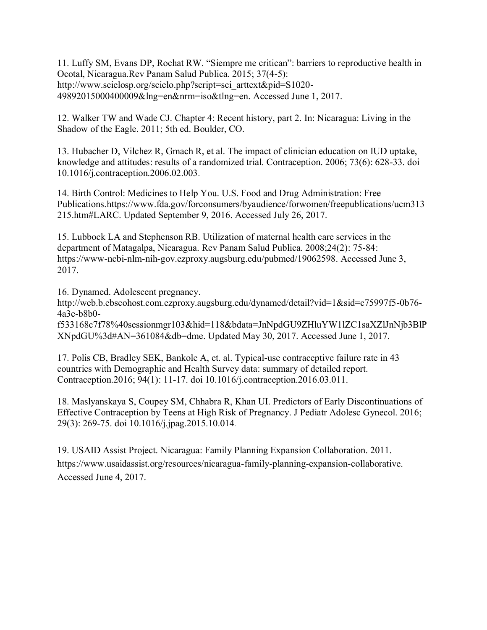11. Luffy SM, Evans DP, Rochat RW. "Siempre me critican": barriers to reproductive health in Ocotal, Nicaragua.Rev Panam Salud Publica. 2015; 37(4-5): http://www.scielosp.org/scielo.php?script=sci\_arttext&pid=S1020-49892015000400009&lng=en&nrm=iso&tlng=en. Accessed June 1, 2017.

12. Walker TW and Wade CJ. Chapter 4: Recent history, part 2. In: Nicaragua: Living in the Shadow of the Eagle. 2011; 5th ed. Boulder, CO.

13. Hubacher D, Vilchez R, Gmach R, et al. The impact of clinician education on IUD uptake, knowledge and attitudes: results of a randomized trial. Contraception. 2006; 73(6): 628-33. doi 10.1016/j.contraception.2006.02.003.

14. Birth Control: Medicines to Help You. U.S. Food and Drug Administration: Free Publications.https://www.fda.gov/forconsumers/byaudience/forwomen/freepublications/ucm313 215.htm#LARC. Updated September 9, 2016. Accessed July 26, 2017.

15. Lubbock LA and Stephenson RB. Utilization of maternal health care services in the department of Matagalpa, Nicaragua. Rev Panam Salud Publica. 2008;24(2): 75-84: https://www-ncbi-nlm-nih-gov.ezproxy.augsburg.edu/pubmed/19062598. Accessed June 3, 2017.

16. Dynamed. Adolescent pregnancy.

http://web.b.ebscohost.com.ezproxy.augsburg.edu/dynamed/detail?vid=1&sid=c75997f5-0b76- 4a3e-b8b0-

f533168c7f78%40sessionmgr103&hid=118&bdata=JnNpdGU9ZHluYW1lZC1saXZlJnNjb3BlP XNpdGU%3d#AN=361084&db=dme. Updated May 30, 2017. Accessed June 1, 2017.

17. Polis CB, Bradley SEK, Bankole A, et. al. Typical-use contraceptive failure rate in 43 countries with Demographic and Health Survey data: summary of detailed report. Contraception.2016; 94(1): 11-17. doi 10.1016/j.contraception.2016.03.011.

18. Maslyanskaya S, Coupey SM, Chhabra R, Khan UI. Predictors of Early Discontinuations of Effective Contraception by Teens at High Risk of Pregnancy. J Pediatr Adolesc Gynecol. 2016; 29(3): 269-75. doi 10.1016/j.jpag.2015.10.014.

19. USAID Assist Project. Nicaragua: Family Planning Expansion Collaboration. 2011. https://www.usaidassist.org/resources/nicaragua-family-planning-expansion-collaborative. Accessed June 4, 2017.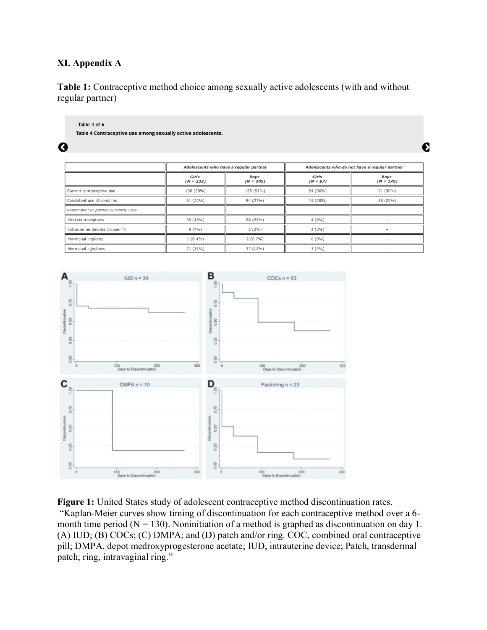# **XI. Appendix A**

G

**Table 1:** Contraceptive method choice among sexually active adolescents (with and without regular partner)

| Table 4 of 6                                                 |  |
|--------------------------------------------------------------|--|
| Table 4 Contraceptive use among sexually active adolescents. |  |
|                                                              |  |

Adolescents who have a regular partner Adolescents who do not have a regular partner Girls<br>( $N = 67$ ) Girls<br>( $N = 232$ )  $\begin{array}{c} Boys \\ (N=305) \end{array}$ Boys<br>( $N = 170$ ) Current contraceptive use 138 (59%) 155 (51%) 24 (36%) 51 (30%) 51 (22%) 84 (27%) 19 (28%) 38 (22%) Consistent use of condoms Respondent or partner currently uses Oral contraceptives 35 (15%) 68 (22%)  $4(6%)$  $\overline{a}$ Intrauterine devices (copper T)  $9(4%)$  $5(2\%)$  $2(3%)$  $\overline{\phantom{0}}$ Hormonal implants  $1(0.4\%)$  $2(0.7\%)$  $0(0\%)$  $37(12%)$  $3(4%)$ 71 (31%) Hormonal injections

€



**Figure 1:** United States study of adolescent contraceptive method discontinuation rates.

"Kaplan-Meier curves show timing of discontinuation for each contraceptive method over a 6 month time period ( $N = 130$ ). Noninitiation of a method is graphed as discontinuation on day 1. (A) IUD; (B) COCs; (C) DMPA; and (D) patch and/or ring. COC, combined oral contraceptive pill; DMPA, depot medroxyprogesterone acetate; IUD, intrauterine device; Patch, transdermal patch; ring, intravaginal ring."